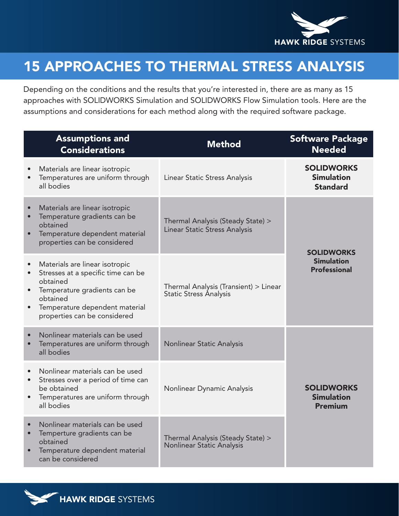

## 15 APPROACHES TO THERMAL STRESS ANALYSIS

Depending on the conditions and the results that you're interested in, there are as many as 15 approaches with SOLIDWORKS Simulation and SOLIDWORKS Flow Simulation tools. Here are the assumptions and considerations for each method along with the required software package.

|           | <b>Assumptions and</b><br><b>Considerations</b>                                                                                                                                                | <b>Method</b>                                                      | <b>Software Package</b><br><b>Needed</b>                      |
|-----------|------------------------------------------------------------------------------------------------------------------------------------------------------------------------------------------------|--------------------------------------------------------------------|---------------------------------------------------------------|
| $\bullet$ | Materials are linear isotropic<br>Temperatures are uniform through<br>all bodies                                                                                                               | Linear Static Stress Analysis                                      | <b>SOLIDWORKS</b><br><b>Simulation</b><br><b>Standard</b>     |
|           | Materials are linear isotropic<br>Temperature gradients can be<br>obtained<br>Temperature dependent material<br>properties can be considered                                                   | Thermal Analysis (Steady State) ><br>Linear Static Stress Analysis | <b>SOLIDWORKS</b><br><b>Simulation</b><br><b>Professional</b> |
| $\bullet$ | Materials are linear isotropic<br>Stresses at a specific time can be<br>obtained<br>Temperature gradients can be<br>obtained<br>Temperature dependent material<br>properties can be considered | Thermal Analysis (Transient) > Linear<br>Static Stress Analysis    |                                                               |
| $\bullet$ | Nonlinear materials can be used<br>Temperatures are uniform through<br>all bodies                                                                                                              | Nonlinear Static Analysis                                          |                                                               |
| $\bullet$ | Nonlinear materials can be used<br>Stresses over a period of time can<br>be obtained<br>Temperatures are uniform through<br>all bodies                                                         | Nonlinear Dynamic Analysis                                         | <b>SOLIDWORKS</b><br><b>Simulation</b><br><b>Premium</b>      |
| $\bullet$ | Nonlinear materials can be used<br>Temperture gradients can be<br>obtained<br>Temperature dependent material<br>can be considered                                                              | Thermal Analysis (Steady State) ><br>Nonlinear Static Analysis     |                                                               |

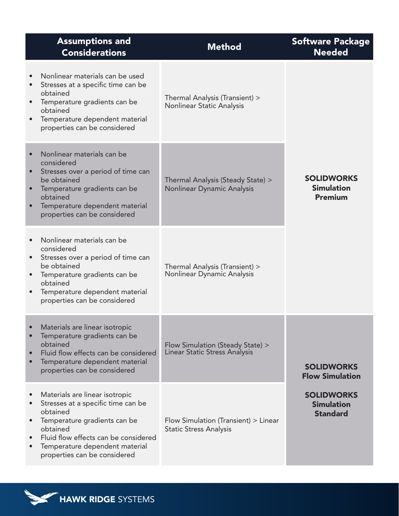| <b>Assumptions and</b><br><b>Considerations</b>                                                                                                                                                                                        | <b>Method</b>                                                            | <b>Software Package</b><br><b>Needed</b>                  |
|----------------------------------------------------------------------------------------------------------------------------------------------------------------------------------------------------------------------------------------|--------------------------------------------------------------------------|-----------------------------------------------------------|
| Nonlinear materials can be used<br>Stresses at a specific time can be<br>obtained<br>Temperature gradients can be<br>obtained<br>Temperature dependent material<br>properties can be considered                                        | Thermal Analysis (Transient) ><br>Nonlinear Static Analysis              |                                                           |
| Nonlinear materials can be<br>considered<br>Stresses over a period of time can<br>be obtained<br>Temperature gradients can be<br>obtained<br>Temperature dependent material<br>properties can be considered                            | Thermal Analysis (Steady State) ><br>Nonlinear Dynamic Analysis          | <b>SOLIDWORKS</b><br><b>Simulation</b><br><b>Premium</b>  |
| Nonlinear materials can be<br>considered<br>Stresses over a period of time can<br>be obtained<br>Temperature gradients can be<br>obtained<br>Temperature dependent material<br>properties can be considered                            | Thermal Analysis (Transient) ><br>Nonlinear Dynamic Analysis             |                                                           |
| Materials are linear isotropic<br>Temperature gradients can be<br>obtained<br>Fluid flow effects can be considered<br>Temperature dependent material<br>properties can be considered                                                   | Flow Simulation (Steady State) ><br><b>Linear Static Stress Analysis</b> | <b>SOLIDWORKS</b><br><b>Flow Simulation</b>               |
| Materials are linear isotropic<br>Stresses at a specific time can be<br>obtained<br>Temperature gradients can be<br>obtained<br>Fluid flow effects can be considered<br>Temperature dependent material<br>properties can be considered | Flow Simulation (Transient) > Linear<br><b>Static Stress Analysis</b>    | <b>SOLIDWORKS</b><br><b>Simulation</b><br><b>Standard</b> |